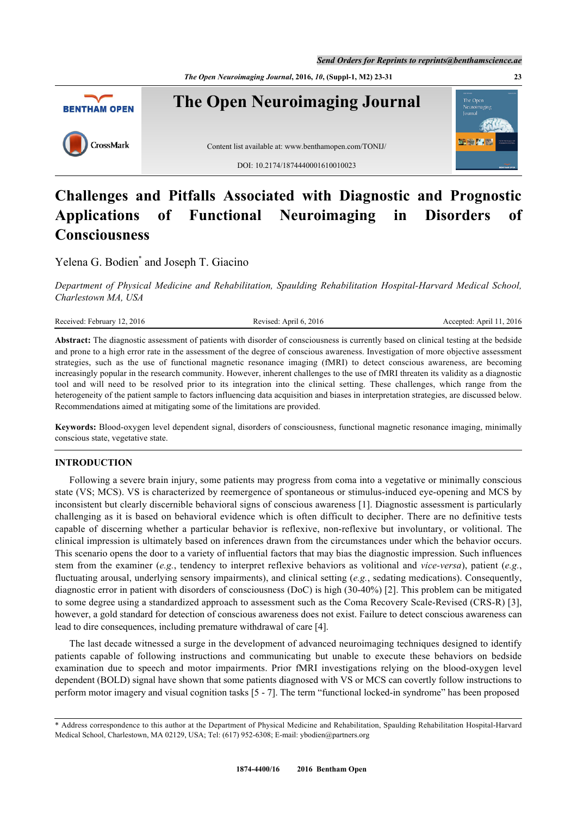*The Open Neuroimaging Journal***, 2016,** *10***, (Suppl-1, M2) 23-31 23**



# **Challenges and Pitfalls Associated with Diagnostic and Prognostic Applications of Functional Neuroimaging in Disorders of Consciousness**

Yelena G. Bodien<sup>[\\*](#page-0-0)</sup> and Joseph T. Giacino

*Department of Physical Medicine and Rehabilitation, Spaulding Rehabilitation Hospital-Harvard Medical School, Charlestown MA, USA*

| Received:<br>2016<br><i>ebruary</i> | 2016<br>'evised:<br>Anril<br>$\mathbf{r}_1$<br>−. | 2016<br>Anri<br>:cented |
|-------------------------------------|---------------------------------------------------|-------------------------|
|                                     |                                                   |                         |

**Abstract:** The diagnostic assessment of patients with disorder of consciousness is currently based on clinical testing at the bedside and prone to a high error rate in the assessment of the degree of conscious awareness. Investigation of more objective assessment strategies, such as the use of functional magnetic resonance imaging (fMRI) to detect conscious awareness, are becoming increasingly popular in the research community. However, inherent challenges to the use of fMRI threaten its validity as a diagnostic tool and will need to be resolved prior to its integration into the clinical setting. These challenges, which range from the heterogeneity of the patient sample to factors influencing data acquisition and biases in interpretation strategies, are discussed below. Recommendations aimed at mitigating some of the limitations are provided.

**Keywords:** Blood-oxygen level dependent signal, disorders of consciousness, functional magnetic resonance imaging, minimally conscious state, vegetative state.

# **INTRODUCTION**

Following a severe brain injury, some patients may progress from coma into a vegetative or minimally conscious state (VS; MCS). VS is characterized by reemergence of spontaneous or stimulus-induced eye-opening and MCS by inconsistent but clearly discernible behavioral signs of conscious awareness [\[1\]](#page-6-0). Diagnostic assessment is particularly challenging as it is based on behavioral evidence which is often difficult to decipher. There are no definitive tests capable of discerning whether a particular behavior is reflexive, non-reflexive but involuntary, or volitional. The clinical impression is ultimately based on inferences drawn from the circumstances under which the behavior occurs. This scenario opens the door to a variety of influential factors that may bias the diagnostic impression. Such influences stem from the examiner (*e.g.*, tendency to interpret reflexive behaviors as volitional and *vice-versa*), patient (*e.g.*, fluctuating arousal, underlying sensory impairments), and clinical setting (*e.g.*, sedating medications). Consequently, diagnostic error in patient with disorders of consciousness (DoC) is high (30-40%) [\[2](#page-6-1)]. This problem can be mitigated to some degree using a standardized approach to assessment such as the Coma Recovery Scale-Revised (CRS-R) [[3\]](#page-6-2), however, a gold standard for detection of conscious awareness does not exist. Failure to detect conscious awareness can lead to dire consequences, including premature withdrawal of care [\[4](#page-6-3)].

The last decade witnessed a surge in the development of advanced neuroimaging techniques designed to identify patients capable of following instructions and communicating but unable to execute these behaviors on bedside examination due to speech and motor impairments. Prior fMRI investigations relying on the blood-oxygen level dependent (BOLD) signal have shown that some patients diagnosed with VS or MCS can covertly follow instructions to perform motor imagery and visual cognition tasks [[5](#page-6-4) - [7\]](#page-7-0). The term "functional locked-in syndrome" has been proposed

<span id="page-0-0"></span><sup>\*</sup> Address correspondence to this author at the Department of Physical Medicine and Rehabilitation, Spaulding Rehabilitation Hospital-Harvard Medical School, Charlestown, MA 02129, USA; Tel: (617) 952-6308; E-mail: [ybodien@partners.org](mailto:ybodien@partners.org)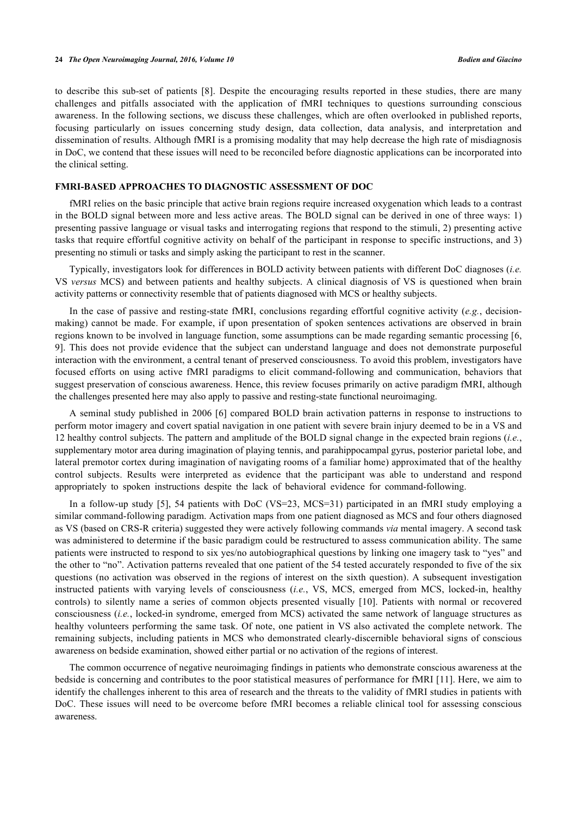to describe this sub-set of patients [\[8](#page-7-1)]. Despite the encouraging results reported in these studies, there are many challenges and pitfalls associated with the application of fMRI techniques to questions surrounding conscious awareness. In the following sections, we discuss these challenges, which are often overlooked in published reports, focusing particularly on issues concerning study design, data collection, data analysis, and interpretation and dissemination of results. Although fMRI is a promising modality that may help decrease the high rate of misdiagnosis in DoC, we contend that these issues will need to be reconciled before diagnostic applications can be incorporated into the clinical setting.

## **FMRI-BASED APPROACHES TO DIAGNOSTIC ASSESSMENT OF DOC**

fMRI relies on the basic principle that active brain regions require increased oxygenation which leads to a contrast in the BOLD signal between more and less active areas. The BOLD signal can be derived in one of three ways: 1) presenting passive language or visual tasks and interrogating regions that respond to the stimuli, 2) presenting active tasks that require effortful cognitive activity on behalf of the participant in response to specific instructions, and 3) presenting no stimuli or tasks and simply asking the participant to rest in the scanner.

Typically, investigators look for differences in BOLD activity between patients with different DoC diagnoses (*i.e.* VS *versus* MCS) and between patients and healthy subjects. A clinical diagnosis of VS is questioned when brain activity patterns or connectivity resemble that of patients diagnosed with MCS or healthy subjects.

In the case of passive and resting-state fMRI, conclusions regarding effortful cognitive activity (*e.g.*, decisionmaking) cannot be made. For example, if upon presentation of spoken sentences activations are observed in brain regions known to be involved in language function, some assumptions can be made regarding semantic processing [[6](#page-6-5), [9\]](#page-7-2). This does not provide evidence that the subject can understand language and does not demonstrate purposeful interaction with the environment, a central tenant of preserved consciousness. To avoid this problem, investigators have focused efforts on using active fMRI paradigms to elicit command-following and communication, behaviors that suggest preservation of conscious awareness. Hence, this review focuses primarily on active paradigm fMRI, although the challenges presented here may also apply to passive and resting-state functional neuroimaging.

A seminal study published in 2006 [[6\]](#page-6-5) compared BOLD brain activation patterns in response to instructions to perform motor imagery and covert spatial navigation in one patient with severe brain injury deemed to be in a VS and 12 healthy control subjects. The pattern and amplitude of the BOLD signal change in the expected brain regions (*i.e.*, supplementary motor area during imagination of playing tennis, and parahippocampal gyrus, posterior parietal lobe, and lateral premotor cortex during imagination of navigating rooms of a familiar home) approximated that of the healthy control subjects. Results were interpreted as evidence that the participant was able to understand and respond appropriately to spoken instructions despite the lack of behavioral evidence for command-following.

In a follow-up study [\[5\]](#page-6-4), 54 patients with DoC (VS=23, MCS=31) participated in an fMRI study employing a similar command-following paradigm. Activation maps from one patient diagnosed as MCS and four others diagnosed as VS (based on CRS-R criteria) suggested they were actively following commands *via* mental imagery. A second task was administered to determine if the basic paradigm could be restructured to assess communication ability. The same patients were instructed to respond to six yes/no autobiographical questions by linking one imagery task to "yes" and the other to "no". Activation patterns revealed that one patient of the 54 tested accurately responded to five of the six questions (no activation was observed in the regions of interest on the sixth question). A subsequent investigation instructed patients with varying levels of consciousness (*i.e.*, VS, MCS, emerged from MCS, locked-in, healthy controls) to silently name a series of common objects presented visually[[10](#page-7-3)]. Patients with normal or recovered consciousness (*i.e.*, locked-in syndrome, emerged from MCS) activated the same network of language structures as healthy volunteers performing the same task. Of note, one patient in VS also activated the complete network. The remaining subjects, including patients in MCS who demonstrated clearly-discernible behavioral signs of conscious awareness on bedside examination, showed either partial or no activation of the regions of interest.

The common occurrence of negative neuroimaging findings in patients who demonstrate conscious awareness at the bedside is concerning and contributes to the poor statistical measures of performance for fMRI [[11\]](#page-7-4). Here, we aim to identify the challenges inherent to this area of research and the threats to the validity of fMRI studies in patients with DoC. These issues will need to be overcome before fMRI becomes a reliable clinical tool for assessing conscious awareness.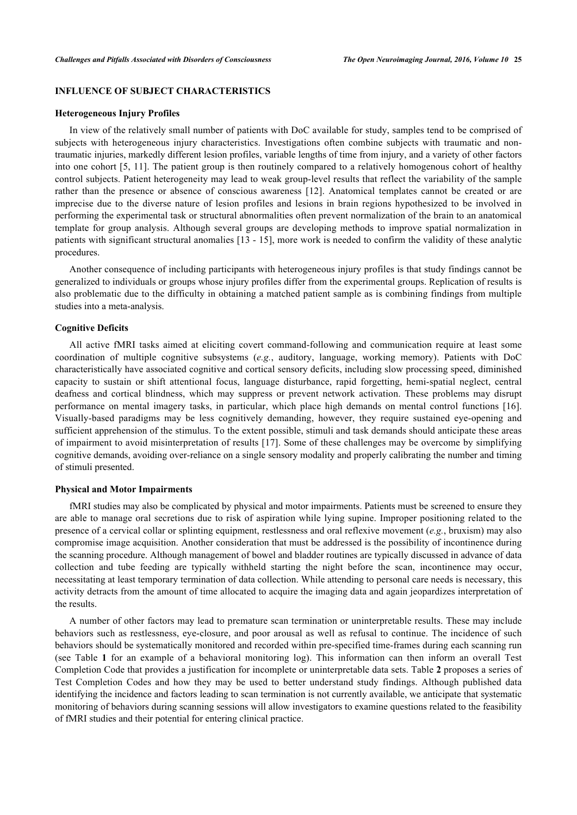# **INFLUENCE OF SUBJECT CHARACTERISTICS**

#### **Heterogeneous Injury Profiles**

In view of the relatively small number of patients with DoC available for study, samples tend to be comprised of subjects with heterogeneous injury characteristics. Investigations often combine subjects with traumatic and nontraumatic injuries, markedly different lesion profiles, variable lengths of time from injury, and a variety of other factors into one cohort [[5](#page-6-4), [11](#page-7-4)]. The patient group is then routinely compared to a relatively homogenous cohort of healthy control subjects. Patient heterogeneity may lead to weak group-level results that reflect the variability of the sample rather than the presence or absence of conscious awareness[[12](#page-7-5)]. Anatomical templates cannot be created or are imprecise due to the diverse nature of lesion profiles and lesions in brain regions hypothesized to be involved in performing the experimental task or structural abnormalities often prevent normalization of the brain to an anatomical template for group analysis. Although several groups are developing methods to improve spatial normalization in patients with significant structural anomalies [[13](#page-7-6) - [15](#page-7-7)], more work is needed to confirm the validity of these analytic procedures.

Another consequence of including participants with heterogeneous injury profiles is that study findings cannot be generalized to individuals or groups whose injury profiles differ from the experimental groups. Replication of results is also problematic due to the difficulty in obtaining a matched patient sample as is combining findings from multiple studies into a meta-analysis.

#### **Cognitive Deficits**

All active fMRI tasks aimed at eliciting covert command-following and communication require at least some coordination of multiple cognitive subsystems (*e.g.*, auditory, language, working memory). Patients with DoC characteristically have associated cognitive and cortical sensory deficits, including slow processing speed, diminished capacity to sustain or shift attentional focus, language disturbance, rapid forgetting, hemi-spatial neglect, central deafness and cortical blindness, which may suppress or prevent network activation. These problems may disrupt performance on mental imagery tasks, in particular, which place high demands on mental control functions [\[16\]](#page-7-8). Visually-based paradigms may be less cognitively demanding, however, they require sustained eye-opening and sufficient apprehension of the stimulus. To the extent possible, stimuli and task demands should anticipate these areas of impairment to avoid misinterpretation of results [[17\]](#page-7-9). Some of these challenges may be overcome by simplifying cognitive demands, avoiding over-reliance on a single sensory modality and properly calibrating the number and timing of stimuli presented.

## **Physical and Motor Impairments**

fMRI studies may also be complicated by physical and motor impairments. Patients must be screened to ensure they are able to manage oral secretions due to risk of aspiration while lying supine. Improper positioning related to the presence of a cervical collar or splinting equipment, restlessness and oral reflexive movement (*e.g.*, bruxism) may also compromise image acquisition. Another consideration that must be addressed is the possibility of incontinence during the scanning procedure. Although management of bowel and bladder routines are typically discussed in advance of data collection and tube feeding are typically withheld starting the night before the scan, incontinence may occur, necessitating at least temporary termination of data collection. While attending to personal care needs is necessary, this activity detracts from the amount of time allocated to acquire the imaging data and again jeopardizes interpretation of the results.

A number of other factors may lead to premature scan termination or uninterpretable results. These may include behaviors such as restlessness, eye-closure, and poor arousal as well as refusal to continue. The incidence of such behaviors should be systematically monitored and recorded within pre-specified time-frames during each scanning run (see Table**1** for an example of a behavioral monitoring log). This information can then inform an overall Test Completion Code that provides a justification for incomplete or uninterpretable data sets. Table **[2](#page-3-1)** proposes a series of Test Completion Codes and how they may be used to better understand study findings. Although published data identifying the incidence and factors leading to scan termination is not currently available, we anticipate that systematic monitoring of behaviors during scanning sessions will allow investigators to examine questions related to the feasibility of fMRI studies and their potential for entering clinical practice.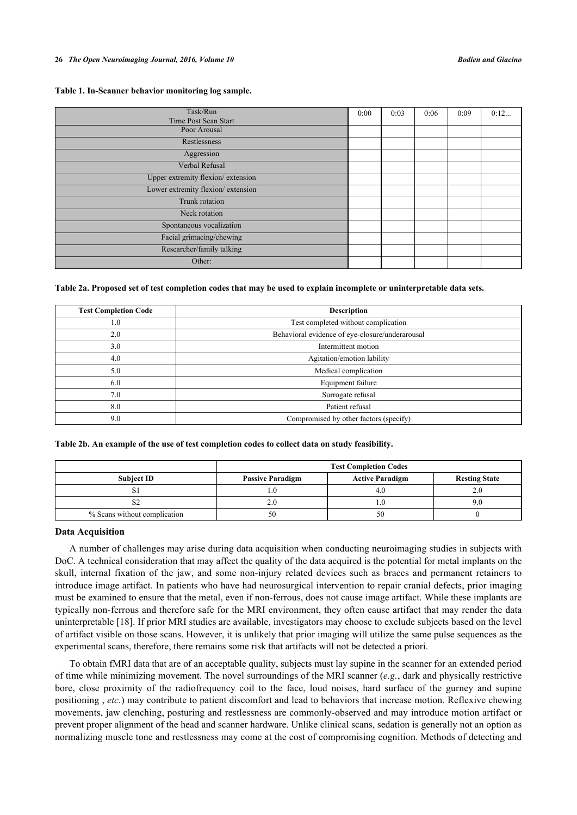<span id="page-3-0"></span>

| Table 1. In-Scanner behavior monitoring log sample. |  |  |  |
|-----------------------------------------------------|--|--|--|
|-----------------------------------------------------|--|--|--|

| Task/Run<br>Time Post Scan Start  | 0:00 | 0:03 | 0:06 | 0:09 | 0:12 |
|-----------------------------------|------|------|------|------|------|
| Poor Arousal                      |      |      |      |      |      |
| Restlessness                      |      |      |      |      |      |
| Aggression                        |      |      |      |      |      |
| Verbal Refusal                    |      |      |      |      |      |
| Upper extremity flexion/extension |      |      |      |      |      |
| Lower extremity flexion/extension |      |      |      |      |      |
| Trunk rotation                    |      |      |      |      |      |
| Neck rotation                     |      |      |      |      |      |
| Spontaneous vocalization          |      |      |      |      |      |
| Facial grimacing/chewing          |      |      |      |      |      |
| Researcher/family talking         |      |      |      |      |      |
| Other:                            |      |      |      |      |      |

#### <span id="page-3-1"></span>**Table 2a. Proposed set of test completion codes that may be used to explain incomplete or uninterpretable data sets.**

| <b>Test Completion Code</b> | <b>Description</b>                              |
|-----------------------------|-------------------------------------------------|
| 1.0                         | Test completed without complication             |
| 2.0                         | Behavioral evidence of eye-closure/underarousal |
| 3.0                         | Intermittent motion                             |
| 4.0                         | Agitation/emotion lability                      |
| 5.0                         | Medical complication                            |
| 6.0                         | Equipment failure                               |
| 7.0                         | Surrogate refusal                               |
| 8.0                         | Patient refusal                                 |
| 9.0                         | Compromised by other factors (specify)          |

**Table 2b. An example of the use of test completion codes to collect data on study feasibility.**

|                              | <b>Test Completion Codes</b> |                        |                      |
|------------------------------|------------------------------|------------------------|----------------------|
| <b>Subject ID</b>            | <b>Passive Paradigm</b>      | <b>Active Paradigm</b> | <b>Resting State</b> |
|                              |                              | 4.0                    | $2.0\,$              |
| ∠ت                           |                              |                        | 9.0                  |
| % Scans without complication |                              | 50                     |                      |

#### **Data Acquisition**

A number of challenges may arise during data acquisition when conducting neuroimaging studies in subjects with DoC. A technical consideration that may affect the quality of the data acquired is the potential for metal implants on the skull, internal fixation of the jaw, and some non-injury related devices such as braces and permanent retainers to introduce image artifact. In patients who have had neurosurgical intervention to repair cranial defects, prior imaging must be examined to ensure that the metal, even if non-ferrous, does not cause image artifact. While these implants are typically non-ferrous and therefore safe for the MRI environment, they often cause artifact that may render the data uninterpretable [[18\]](#page-7-10). If prior MRI studies are available, investigators may choose to exclude subjects based on the level of artifact visible on those scans. However, it is unlikely that prior imaging will utilize the same pulse sequences as the experimental scans, therefore, there remains some risk that artifacts will not be detected a priori.

To obtain fMRI data that are of an acceptable quality, subjects must lay supine in the scanner for an extended period of time while minimizing movement. The novel surroundings of the MRI scanner (*e.g.*, dark and physically restrictive bore, close proximity of the radiofrequency coil to the face, loud noises, hard surface of the gurney and supine positioning , *etc.*) may contribute to patient discomfort and lead to behaviors that increase motion. Reflexive chewing movements, jaw clenching, posturing and restlessness are commonly-observed and may introduce motion artifact or prevent proper alignment of the head and scanner hardware. Unlike clinical scans, sedation is generally not an option as normalizing muscle tone and restlessness may come at the cost of compromising cognition. Methods of detecting and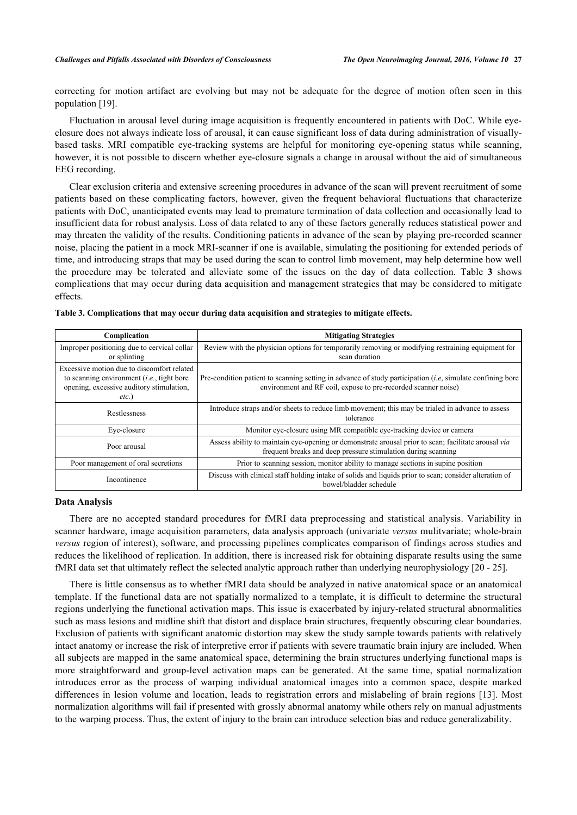correcting for motion artifact are evolving but may not be adequate for the degree of motion often seen in this population [\[19](#page-7-11)].

Fluctuation in arousal level during image acquisition is frequently encountered in patients with DoC. While eyeclosure does not always indicate loss of arousal, it can cause significant loss of data during administration of visuallybased tasks. MRI compatible eye-tracking systems are helpful for monitoring eye-opening status while scanning, however, it is not possible to discern whether eye-closure signals a change in arousal without the aid of simultaneous EEG recording.

Clear exclusion criteria and extensive screening procedures in advance of the scan will prevent recruitment of some patients based on these complicating factors, however, given the frequent behavioral fluctuations that characterize patients with DoC, unanticipated events may lead to premature termination of data collection and occasionally lead to insufficient data for robust analysis. Loss of data related to any of these factors generally reduces statistical power and may threaten the validity of the results. Conditioning patients in advance of the scan by playing pre-recorded scanner noise, placing the patient in a mock MRI-scanner if one is available, simulating the positioning for extended periods of time, and introducing straps that may be used during the scan to control limb movement, may help determine how well the procedure may be tolerated and alleviate some of the issues on the day of data collection. Table**3** shows complications that may occur during data acquisition and management strategies that may be considered to mitigate effects.

| Complication                                                                                                                                      | <b>Mitigating Strategies</b>                                                                                                                                                  |
|---------------------------------------------------------------------------------------------------------------------------------------------------|-------------------------------------------------------------------------------------------------------------------------------------------------------------------------------|
| Improper positioning due to cervical collar<br>or splinting                                                                                       | Review with the physician options for temporarily removing or modifying restraining equipment for<br>scan duration                                                            |
| Excessive motion due to discomfort related<br>to scanning environment $(i.e.,$ tight bore<br>opening, excessive auditory stimulation,<br>$etc.$ ) | Pre-condition patient to scanning setting in advance of study participation $(i.e.$ simulate confining bore<br>environment and RF coil, expose to pre-recorded scanner noise) |
| Restlessness                                                                                                                                      | Introduce straps and/or sheets to reduce limb movement; this may be trialed in advance to assess<br>tolerance                                                                 |
| Eye-closure                                                                                                                                       | Monitor eye-closure using MR compatible eye-tracking device or camera                                                                                                         |
| Poor arousal                                                                                                                                      | Assess ability to maintain eye-opening or demonstrate arousal prior to scan; facilitate arousal via<br>frequent breaks and deep pressure stimulation during scanning          |
| Poor management of oral secretions                                                                                                                | Prior to scanning session, monitor ability to manage sections in supine position                                                                                              |
| Incontinence                                                                                                                                      | Discuss with clinical staff holding intake of solids and liquids prior to scan; consider alteration of<br>bowel/bladder schedule                                              |

<span id="page-4-0"></span>**Table 3. Complications that may occur during data acquisition and strategies to mitigate effects.**

## **Data Analysis**

There are no accepted standard procedures for fMRI data preprocessing and statistical analysis. Variability in scanner hardware, image acquisition parameters, data analysis approach (univariate *versus* mulitvariate; whole-brain *versus* region of interest), software, and processing pipelines complicates comparison of findings across studies and reduces the likelihood of replication. In addition, there is increased risk for obtaining disparate results using the same fMRI data set that ultimately reflect the selected analytic approach rather than underlying neurophysiology [[20](#page-7-12) - [25](#page-7-13)].

There is little consensus as to whether fMRI data should be analyzed in native anatomical space or an anatomical template. If the functional data are not spatially normalized to a template, it is difficult to determine the structural regions underlying the functional activation maps. This issue is exacerbated by injury-related structural abnormalities such as mass lesions and midline shift that distort and displace brain structures, frequently obscuring clear boundaries. Exclusion of patients with significant anatomic distortion may skew the study sample towards patients with relatively intact anatomy or increase the risk of interpretive error if patients with severe traumatic brain injury are included. When all subjects are mapped in the same anatomical space, determining the brain structures underlying functional maps is more straightforward and group-level activation maps can be generated. At the same time, spatial normalization introduces error as the process of warping individual anatomical images into a common space, despite marked differences in lesion volume and location, leads to registration errors and mislabeling of brain regions [[13\]](#page-7-6). Most normalization algorithms will fail if presented with grossly abnormal anatomy while others rely on manual adjustments to the warping process. Thus, the extent of injury to the brain can introduce selection bias and reduce generalizability.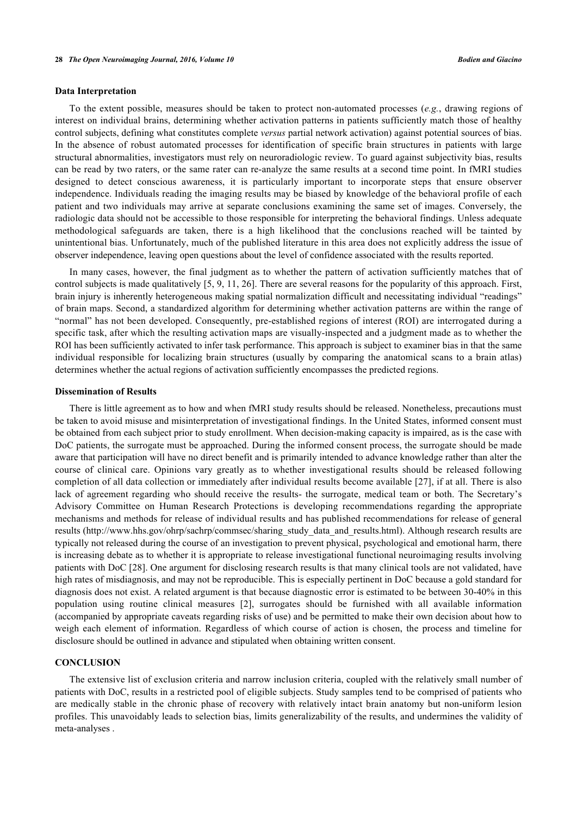## **Data Interpretation**

To the extent possible, measures should be taken to protect non-automated processes (*e.g.*, drawing regions of interest on individual brains, determining whether activation patterns in patients sufficiently match those of healthy control subjects, defining what constitutes complete *versus* partial network activation) against potential sources of bias. In the absence of robust automated processes for identification of specific brain structures in patients with large structural abnormalities, investigators must rely on neuroradiologic review. To guard against subjectivity bias, results can be read by two raters, or the same rater can re-analyze the same results at a second time point. In fMRI studies designed to detect conscious awareness, it is particularly important to incorporate steps that ensure observer independence. Individuals reading the imaging results may be biased by knowledge of the behavioral profile of each patient and two individuals may arrive at separate conclusions examining the same set of images. Conversely, the radiologic data should not be accessible to those responsible for interpreting the behavioral findings. Unless adequate methodological safeguards are taken, there is a high likelihood that the conclusions reached will be tainted by unintentional bias. Unfortunately, much of the published literature in this area does not explicitly address the issue of observer independence, leaving open questions about the level of confidence associated with the results reported.

In many cases, however, the final judgment as to whether the pattern of activation sufficiently matches that of control subjects is made qualitatively [[5,](#page-6-4) [9,](#page-7-2) [11](#page-7-4), [26](#page-7-14)]. There are several reasons for the popularity of this approach. First, brain injury is inherently heterogeneous making spatial normalization difficult and necessitating individual "readings" of brain maps. Second, a standardized algorithm for determining whether activation patterns are within the range of "normal" has not been developed. Consequently, pre-established regions of interest (ROI) are interrogated during a specific task, after which the resulting activation maps are visually-inspected and a judgment made as to whether the ROI has been sufficiently activated to infer task performance. This approach is subject to examiner bias in that the same individual responsible for localizing brain structures (usually by comparing the anatomical scans to a brain atlas) determines whether the actual regions of activation sufficiently encompasses the predicted regions.

#### **Dissemination of Results**

There is little agreement as to how and when fMRI study results should be released. Nonetheless, precautions must be taken to avoid misuse and misinterpretation of investigational findings. In the United States, informed consent must be obtained from each subject prior to study enrollment. When decision-making capacity is impaired, as is the case with DoC patients, the surrogate must be approached. During the informed consent process, the surrogate should be made aware that participation will have no direct benefit and is primarily intended to advance knowledge rather than alter the course of clinical care. Opinions vary greatly as to whether investigational results should be released following completion of all data collection or immediately after individual results become available [[27\]](#page-8-0), if at all. There is also lack of agreement regarding who should receive the results- the surrogate, medical team or both. The Secretary's Advisory Committee on Human Research Protections is developing recommendations regarding the appropriate mechanisms and methods for release of individual results and has published recommendations for release of general results ([http://www.hhs.gov/ohrp/sachrp/commsec/sharing\\_study\\_data\\_and\\_results.html](http://www.hhs.gov/ohrp/sachrp/commsec/sharing_study_data_and_results.html)). Although research results are typically not released during the course of an investigation to prevent physical, psychological and emotional harm, there is increasing debate as to whether it is appropriate to release investigational functional neuroimaging results involving patients with DoC [[28\]](#page-8-1). One argument for disclosing research results is that many clinical tools are not validated, have high rates of misdiagnosis, and may not be reproducible. This is especially pertinent in DoC because a gold standard for diagnosis does not exist. A related argument is that because diagnostic error is estimated to be between 30-40% in this population using routine clinical measures [\[2](#page-6-1)], surrogates should be furnished with all available information (accompanied by appropriate caveats regarding risks of use) and be permitted to make their own decision about how to weigh each element of information. Regardless of which course of action is chosen, the process and timeline for disclosure should be outlined in advance and stipulated when obtaining written consent.

## **CONCLUSION**

The extensive list of exclusion criteria and narrow inclusion criteria, coupled with the relatively small number of patients with DoC, results in a restricted pool of eligible subjects. Study samples tend to be comprised of patients who are medically stable in the chronic phase of recovery with relatively intact brain anatomy but non-uniform lesion profiles. This unavoidably leads to selection bias, limits generalizability of the results, and undermines the validity of meta-analyses .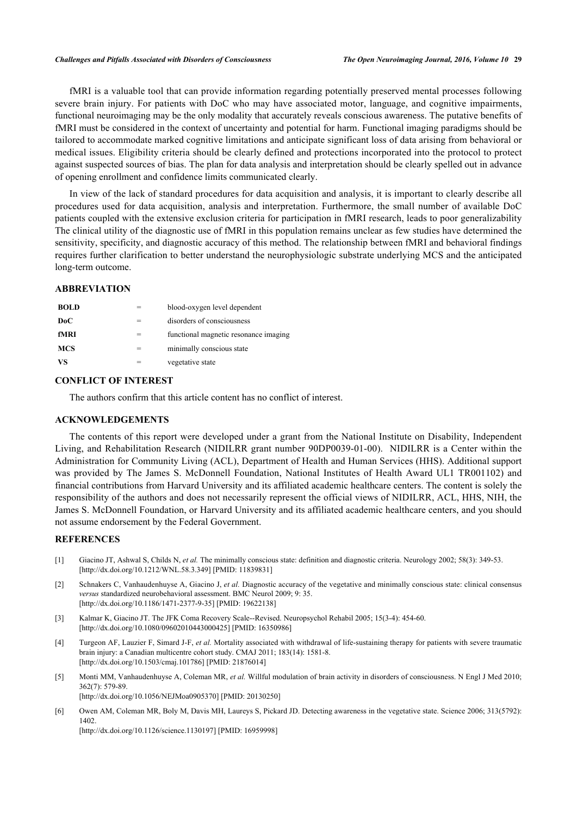fMRI is a valuable tool that can provide information regarding potentially preserved mental processes following severe brain injury. For patients with DoC who may have associated motor, language, and cognitive impairments, functional neuroimaging may be the only modality that accurately reveals conscious awareness. The putative benefits of fMRI must be considered in the context of uncertainty and potential for harm. Functional imaging paradigms should be tailored to accommodate marked cognitive limitations and anticipate significant loss of data arising from behavioral or medical issues. Eligibility criteria should be clearly defined and protections incorporated into the protocol to protect against suspected sources of bias. The plan for data analysis and interpretation should be clearly spelled out in advance of opening enrollment and confidence limits communicated clearly.

In view of the lack of standard procedures for data acquisition and analysis, it is important to clearly describe all procedures used for data acquisition, analysis and interpretation. Furthermore, the small number of available DoC patients coupled with the extensive exclusion criteria for participation in fMRI research, leads to poor generalizability The clinical utility of the diagnostic use of fMRI in this population remains unclear as few studies have determined the sensitivity, specificity, and diagnostic accuracy of this method. The relationship between fMRI and behavioral findings requires further clarification to better understand the neurophysiologic substrate underlying MCS and the anticipated long-term outcome.

## **ABBREVIATION**

| <b>BOLD</b> | blood-oxygen level dependent          |
|-------------|---------------------------------------|
| DoC         | disorders of consciousness            |
| fMRI        | functional magnetic resonance imaging |
| <b>MCS</b>  | minimally conscious state             |
| VS          | vegetative state                      |

# **CONFLICT OF INTEREST**

The authors confirm that this article content has no conflict of interest.

## **ACKNOWLEDGEMENTS**

The contents of this report were developed under a grant from the National Institute on Disability, Independent Living, and Rehabilitation Research (NIDILRR grant number 90DP0039-01-00). NIDILRR is a Center within the Administration for Community Living (ACL), Department of Health and Human Services (HHS). Additional support was provided by The James S. McDonnell Foundation, National Institutes of Health Award UL1 TR001102) and financial contributions from Harvard University and its affiliated academic healthcare centers. The content is solely the responsibility of the authors and does not necessarily represent the official views of NIDILRR, ACL, HHS, NIH, the James S. McDonnell Foundation, or Harvard University and its affiliated academic healthcare centers, and you should not assume endorsement by the Federal Government.

## **REFERENCES**

- <span id="page-6-0"></span>[1] Giacino JT, Ashwal S, Childs N, *et al.* The minimally conscious state: definition and diagnostic criteria. Neurology 2002; 58(3): 349-53. [\[http://dx.doi.org/10.1212/WNL.58.3.349](http://dx.doi.org/10.1212/WNL.58.3.349)] [PMID: [11839831\]](http://www.ncbi.nlm.nih.gov/pubmed/11839831)
- <span id="page-6-1"></span>[2] Schnakers C, Vanhaudenhuyse A, Giacino J, *et al.* Diagnostic accuracy of the vegetative and minimally conscious state: clinical consensus *versus* standardized neurobehavioral assessment. BMC Neurol 2009; 9: 35. [\[http://dx.doi.org/10.1186/1471-2377-9-35\]](http://dx.doi.org/10.1186/1471-2377-9-35) [PMID: [19622138](http://www.ncbi.nlm.nih.gov/pubmed/19622138)]
- <span id="page-6-2"></span>[3] Kalmar K, Giacino JT. The JFK Coma Recovery Scale--Revised. Neuropsychol Rehabil 2005; 15(3-4): 454-60. [\[http://dx.doi.org/10.1080/09602010443000425\]](http://dx.doi.org/10.1080/09602010443000425) [PMID: [16350986](http://www.ncbi.nlm.nih.gov/pubmed/16350986)]
- <span id="page-6-3"></span>[4] Turgeon AF, Lauzier F, Simard J-F, *et al.* Mortality associated with withdrawal of life-sustaining therapy for patients with severe traumatic brain injury: a Canadian multicentre cohort study. CMAJ 2011; 183(14): 1581-8. [\[http://dx.doi.org/10.1503/cmaj.101786](http://dx.doi.org/10.1503/cmaj.101786)] [PMID: [21876014\]](http://www.ncbi.nlm.nih.gov/pubmed/21876014)
- <span id="page-6-4"></span>[5] Monti MM, Vanhaudenhuyse A, Coleman MR, *et al.* Willful modulation of brain activity in disorders of consciousness. N Engl J Med 2010; 362(7): 579-89.

[\[http://dx.doi.org/10.1056/NEJMoa0905370](http://dx.doi.org/10.1056/NEJMoa0905370)] [PMID: [20130250\]](http://www.ncbi.nlm.nih.gov/pubmed/20130250)

<span id="page-6-5"></span>[6] Owen AM, Coleman MR, Boly M, Davis MH, Laureys S, Pickard JD. Detecting awareness in the vegetative state. Science 2006; 313(5792): 1402.

[\[http://dx.doi.org/10.1126/science.1130197](http://dx.doi.org/10.1126/science.1130197)] [PMID: [16959998\]](http://www.ncbi.nlm.nih.gov/pubmed/16959998)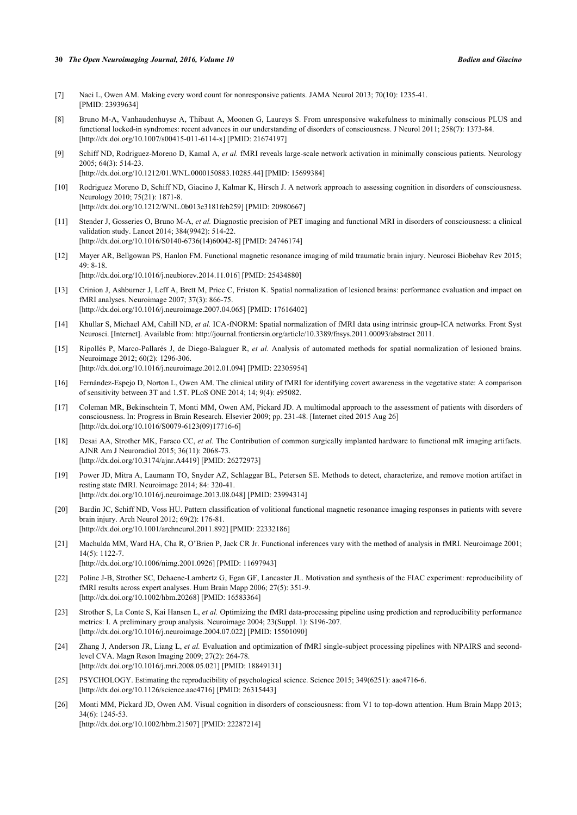#### **30** *The Open Neuroimaging Journal, 2016, Volume 10 Bodien and Giacino*

- <span id="page-7-0"></span>[7] Naci L, Owen AM. Making every word count for nonresponsive patients. JAMA Neurol 2013; 70(10): 1235-41. [PMID: [23939634\]](http://www.ncbi.nlm.nih.gov/pubmed/23939634)
- <span id="page-7-1"></span>[8] Bruno M-A, Vanhaudenhuyse A, Thibaut A, Moonen G, Laureys S. From unresponsive wakefulness to minimally conscious PLUS and functional locked-in syndromes: recent advances in our understanding of disorders of consciousness. J Neurol 2011; 258(7): 1373-84. [\[http://dx.doi.org/10.1007/s00415-011-6114-x\]](http://dx.doi.org/10.1007/s00415-011-6114-x) [PMID: [21674197](http://www.ncbi.nlm.nih.gov/pubmed/21674197)]
- <span id="page-7-2"></span>[9] Schiff ND, Rodriguez-Moreno D, Kamal A, *et al.* fMRI reveals large-scale network activation in minimally conscious patients. Neurology 2005; 64(3): 514-23. [\[http://dx.doi.org/10.1212/01.WNL.0000150883.10285.44](http://dx.doi.org/10.1212/01.WNL.0000150883.10285.44)] [PMID: [15699384\]](http://www.ncbi.nlm.nih.gov/pubmed/15699384)
- <span id="page-7-3"></span>[10] Rodriguez Moreno D, Schiff ND, Giacino J, Kalmar K, Hirsch J. A network approach to assessing cognition in disorders of consciousness. Neurology 2010; 75(21): 1871-8.

[\[http://dx.doi.org/10.1212/WNL.0b013e3181feb259\]](http://dx.doi.org/10.1212/WNL.0b013e3181feb259) [PMID: [20980667](http://www.ncbi.nlm.nih.gov/pubmed/20980667)]

- <span id="page-7-4"></span>[11] Stender J, Gosseries O, Bruno M-A, *et al.* Diagnostic precision of PET imaging and functional MRI in disorders of consciousness: a clinical validation study. Lancet 2014; 384(9942): 514-22. [\[http://dx.doi.org/10.1016/S0140-6736\(14\)60042-8\]](http://dx.doi.org/10.1016/S0140-6736(14)60042-8) [PMID: [24746174](http://www.ncbi.nlm.nih.gov/pubmed/24746174)]
- <span id="page-7-5"></span>[12] Mayer AR, Bellgowan PS, Hanlon FM. Functional magnetic resonance imaging of mild traumatic brain injury. Neurosci Biobehav Rev 2015; 49: 8-18.
	- [\[http://dx.doi.org/10.1016/j.neubiorev.2014.11.016](http://dx.doi.org/10.1016/j.neubiorev.2014.11.016)] [PMID: [25434880\]](http://www.ncbi.nlm.nih.gov/pubmed/25434880)
- <span id="page-7-6"></span>[13] Crinion J, Ashburner J, Leff A, Brett M, Price C, Friston K. Spatial normalization of lesioned brains: performance evaluation and impact on fMRI analyses. Neuroimage 2007; 37(3): 866-75. [\[http://dx.doi.org/10.1016/j.neuroimage.2007.04.065\]](http://dx.doi.org/10.1016/j.neuroimage.2007.04.065) [PMID: [17616402](http://www.ncbi.nlm.nih.gov/pubmed/17616402)]
- [14] Khullar S, Michael AM, Cahill ND, *et al.* ICA-fNORM: Spatial normalization of fMRI data using intrinsic group-ICA networks. Front Syst Neurosci. [Internet]. Available from: <http://journal.frontiersin.org/article/10.3389/fnsys.2011.00093/abstract> 2011.
- <span id="page-7-7"></span>[15] Ripollés P, Marco-Pallarés J, de Diego-Balaguer R, *et al.* Analysis of automated methods for spatial normalization of lesioned brains. Neuroimage 2012; 60(2): 1296-306. [\[http://dx.doi.org/10.1016/j.neuroimage.2012.01.094\]](http://dx.doi.org/10.1016/j.neuroimage.2012.01.094) [PMID: [22305954](http://www.ncbi.nlm.nih.gov/pubmed/22305954)]
- <span id="page-7-8"></span>[16] Fernández-Espejo D, Norton L, Owen AM. The clinical utility of fMRI for identifying covert awareness in the vegetative state: A comparison of sensitivity between 3T and 1.5T. PLoS ONE 2014; 14; 9(4): e95082.
- <span id="page-7-9"></span>[17] Coleman MR, Bekinschtein T, Monti MM, Owen AM, Pickard JD. A multimodal approach to the assessment of patients with disorders of consciousness. In: Progress in Brain Research. Elsevier 2009; pp. 231-48. [Internet cited 2015 Aug 26] [\[http://dx.doi.org/10.1016/S0079-6123\(09\)17716-6\]](http://dx.doi.org/10.1016/S0079-6123(09)17716-6)
- <span id="page-7-10"></span>[18] Desai AA, Strother MK, Faraco CC, *et al.* The Contribution of common surgically implanted hardware to functional mR imaging artifacts. AJNR Am J Neuroradiol 2015; 36(11): 2068-73. [\[http://dx.doi.org/10.3174/ajnr.A4419](http://dx.doi.org/10.3174/ajnr.A4419)] [PMID: [26272973\]](http://www.ncbi.nlm.nih.gov/pubmed/26272973)
- <span id="page-7-11"></span>[19] Power JD, Mitra A, Laumann TO, Snyder AZ, Schlaggar BL, Petersen SE. Methods to detect, characterize, and remove motion artifact in resting state fMRI. Neuroimage 2014; 84: 320-41. [\[http://dx.doi.org/10.1016/j.neuroimage.2013.08.048\]](http://dx.doi.org/10.1016/j.neuroimage.2013.08.048) [PMID: [23994314](http://www.ncbi.nlm.nih.gov/pubmed/23994314)]
- <span id="page-7-12"></span>[20] Bardin JC, Schiff ND, Voss HU. Pattern classification of volitional functional magnetic resonance imaging responses in patients with severe brain injury. Arch Neurol 2012; 69(2): 176-81. [\[http://dx.doi.org/10.1001/archneurol.2011.892](http://dx.doi.org/10.1001/archneurol.2011.892)] [PMID: [22332186\]](http://www.ncbi.nlm.nih.gov/pubmed/22332186)
- [21] Machulda MM, Ward HA, Cha R, O'Brien P, Jack CR Jr. Functional inferences vary with the method of analysis in fMRI. Neuroimage 2001; 14(5): 1122-7. [\[http://dx.doi.org/10.1006/nimg.2001.0926](http://dx.doi.org/10.1006/nimg.2001.0926)] [PMID: [11697943\]](http://www.ncbi.nlm.nih.gov/pubmed/11697943)
- [22] Poline J-B, Strother SC, Dehaene-Lambertz G, Egan GF, Lancaster JL. Motivation and synthesis of the FIAC experiment: reproducibility of fMRI results across expert analyses. Hum Brain Mapp 2006; 27(5): 351-9. [\[http://dx.doi.org/10.1002/hbm.20268](http://dx.doi.org/10.1002/hbm.20268)] [PMID: [16583364\]](http://www.ncbi.nlm.nih.gov/pubmed/16583364)
- [23] Strother S, La Conte S, Kai Hansen L, et al. Optimizing the fMRI data-processing pipeline using prediction and reproducibility performance metrics: I. A preliminary group analysis. Neuroimage 2004; 23(Suppl. 1): S196-207. [\[http://dx.doi.org/10.1016/j.neuroimage.2004.07.022\]](http://dx.doi.org/10.1016/j.neuroimage.2004.07.022) [PMID: [15501090](http://www.ncbi.nlm.nih.gov/pubmed/15501090)]
- [24] Zhang J, Anderson JR, Liang L, *et al.* Evaluation and optimization of fMRI single-subject processing pipelines with NPAIRS and secondlevel CVA. Magn Reson Imaging 2009; 27(2): 264-78. [\[http://dx.doi.org/10.1016/j.mri.2008.05.021](http://dx.doi.org/10.1016/j.mri.2008.05.021)] [PMID: [18849131\]](http://www.ncbi.nlm.nih.gov/pubmed/18849131)
- <span id="page-7-13"></span>[25] PSYCHOLOGY. Estimating the reproducibility of psychological science. Science 2015; 349(6251): aac4716-6. [\[http://dx.doi.org/10.1126/science.aac4716](http://dx.doi.org/10.1126/science.aac4716)] [PMID: [26315443\]](http://www.ncbi.nlm.nih.gov/pubmed/26315443)
- <span id="page-7-14"></span>[26] Monti MM, Pickard JD, Owen AM. Visual cognition in disorders of consciousness: from V1 to top-down attention. Hum Brain Mapp 2013; 34(6): 1245-53.

[\[http://dx.doi.org/10.1002/hbm.21507](http://dx.doi.org/10.1002/hbm.21507)] [PMID: [22287214\]](http://www.ncbi.nlm.nih.gov/pubmed/22287214)